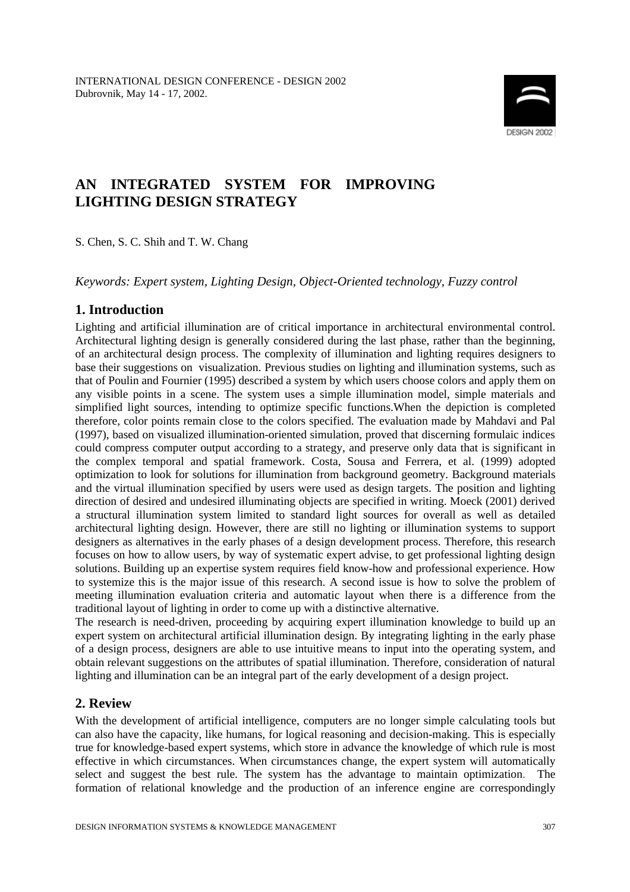

# **AN INTEGRATED SYSTEM FOR IMPROVING LIGHTING DESIGN STRATEGY**

S. Chen, S. C. Shih and T. W. Chang

*Keywords: Expert system, Lighting Design, Object-Oriented technology, Fuzzy control*

## **1. Introduction**

Lighting and artificial illumination are of critical importance in architectural environmental control. Architectural lighting design is generally considered during the last phase, rather than the beginning, of an architectural design process. The complexity of illumination and lighting requires designers to base their suggestions on visualization. Previous studies on lighting and illumination systems, such as that of Poulin and Fournier (1995) described a system by which users choose colors and apply them on any visible points in a scene. The system uses a simple illumination model, simple materials and simplified light sources, intending to optimize specific functions.When the depiction is completed therefore, color points remain close to the colors specified. The evaluation made by Mahdavi and Pal (1997), based on visualized illumination-oriented simulation, proved that discerning formulaic indices could compress computer output according to a strategy, and preserve only data that is significant in the complex temporal and spatial framework. Costa, Sousa and Ferrera, et al. (1999) adopted optimization to look for solutions for illumination from background geometry. Background materials and the virtual illumination specified by users were used as design targets. The position and lighting direction of desired and undesired illuminating objects are specified in writing. Moeck (2001) derived a structural illumination system limited to standard light sources for overall as well as detailed architectural lighting design. However, there are still no lighting or illumination systems to support designers as alternatives in the early phases of a design development process. Therefore, this research focuses on how to allow users, by way of systematic expert advise, to get professional lighting design solutions. Building up an expertise system requires field know-how and professional experience. How to systemize this is the major issue of this research. A second issue is how to solve the problem of meeting illumination evaluation criteria and automatic layout when there is a difference from the traditional layout of lighting in order to come up with a distinctive alternative.

The research is need-driven, proceeding by acquiring expert illumination knowledge to build up an expert system on architectural artificial illumination design. By integrating lighting in the early phase of a design process, designers are able to use intuitive means to input into the operating system, and obtain relevant suggestions on the attributes of spatial illumination. Therefore, consideration of natural lighting and illumination can be an integral part of the early development of a design project.

### **2. Review**

With the development of artificial intelligence, computers are no longer simple calculating tools but can also have the capacity, like humans, for logical reasoning and decision-making. This is especially true for knowledge-based expert systems, which store in advance the knowledge of which rule is most effective in which circumstances. When circumstances change, the expert system will automatically select and suggest the best rule. The system has the advantage to maintain optimization. The formation of relational knowledge and the production of an inference engine are correspondingly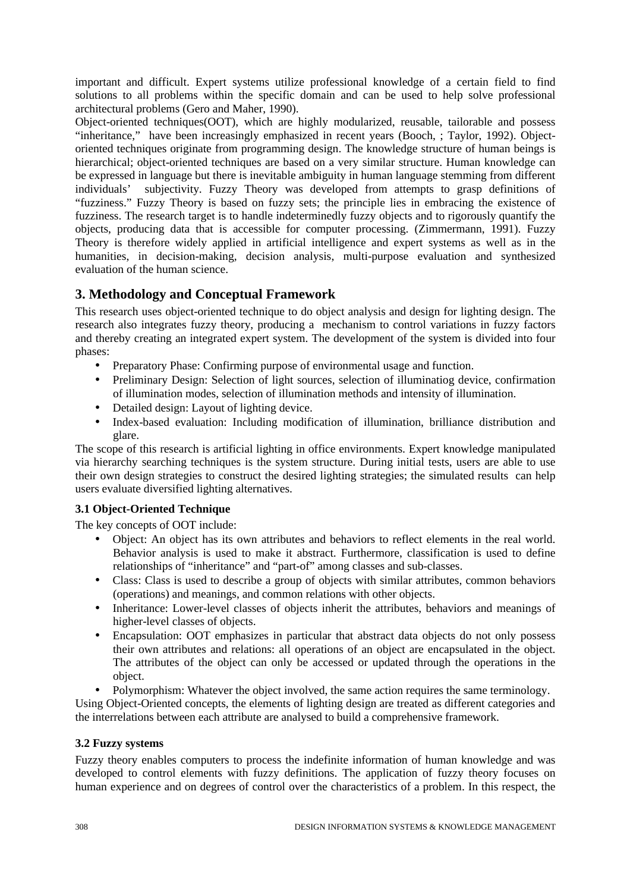important and difficult. Expert systems utilize professional knowledge of a certain field to find solutions to all problems within the specific domain and can be used to help solve professional architectural problems (Gero and Maher, 1990).

Object-oriented techniques(OOT), which are highly modularized, reusable, tailorable and possess "inheritance," have been increasingly emphasized in recent years (Booch, ; Taylor, 1992). Objectoriented techniques originate from programming design. The knowledge structure of human beings is hierarchical; object-oriented techniques are based on a very similar structure. Human knowledge can be expressed in language but there is inevitable ambiguity in human language stemming from different individuals' subjectivity. Fuzzy Theory was developed from attempts to grasp definitions of "fuzziness." Fuzzy Theory is based on fuzzy sets; the principle lies in embracing the existence of fuzziness. The research target is to handle indeterminedly fuzzy objects and to rigorously quantify the objects, producing data that is accessible for computer processing. (Zimmermann, 1991). Fuzzy Theory is therefore widely applied in artificial intelligence and expert systems as well as in the humanities, in decision-making, decision analysis, multi-purpose evaluation and synthesized evaluation of the human science.

## **3. Methodology and Conceptual Framework**

This research uses object-oriented technique to do object analysis and design for lighting design. The research also integrates fuzzy theory, producing a mechanism to control variations in fuzzy factors and thereby creating an integrated expert system. The development of the system is divided into four phases:

- Preparatory Phase: Confirming purpose of environmental usage and function.
- Preliminary Design: Selection of light sources, selection of illuminatiog device, confirmation of illumination modes, selection of illumination methods and intensity of illumination.
- Detailed design: Layout of lighting device.
- Index-based evaluation: Including modification of illumination, brilliance distribution and glare.

The scope of this research is artificial lighting in office environments. Expert knowledge manipulated via hierarchy searching techniques is the system structure. During initial tests, users are able to use their own design strategies to construct the desired lighting strategies; the simulated results can help users evaluate diversified lighting alternatives.

## **3.1 Object-Oriented Technique**

The key concepts of OOT include:

- Object: An object has its own attributes and behaviors to reflect elements in the real world. Behavior analysis is used to make it abstract. Furthermore, classification is used to define relationships of "inheritance" and "part-of" among classes and sub-classes.
- Class: Class is used to describe a group of objects with similar attributes, common behaviors (operations) and meanings, and common relations with other objects.
- Inheritance: Lower-level classes of objects inherit the attributes, behaviors and meanings of higher-level classes of objects.
- Encapsulation: OOT emphasizes in particular that abstract data objects do not only possess their own attributes and relations: all operations of an object are encapsulated in the object. The attributes of the object can only be accessed or updated through the operations in the object.
- Polymorphism: Whatever the object involved, the same action requires the same terminology.

Using Object-Oriented concepts, the elements of lighting design are treated as different categories and the interrelations between each attribute are analysed to build a comprehensive framework.

### **3.2 Fuzzy systems**

Fuzzy theory enables computers to process the indefinite information of human knowledge and was developed to control elements with fuzzy definitions. The application of fuzzy theory focuses on human experience and on degrees of control over the characteristics of a problem. In this respect, the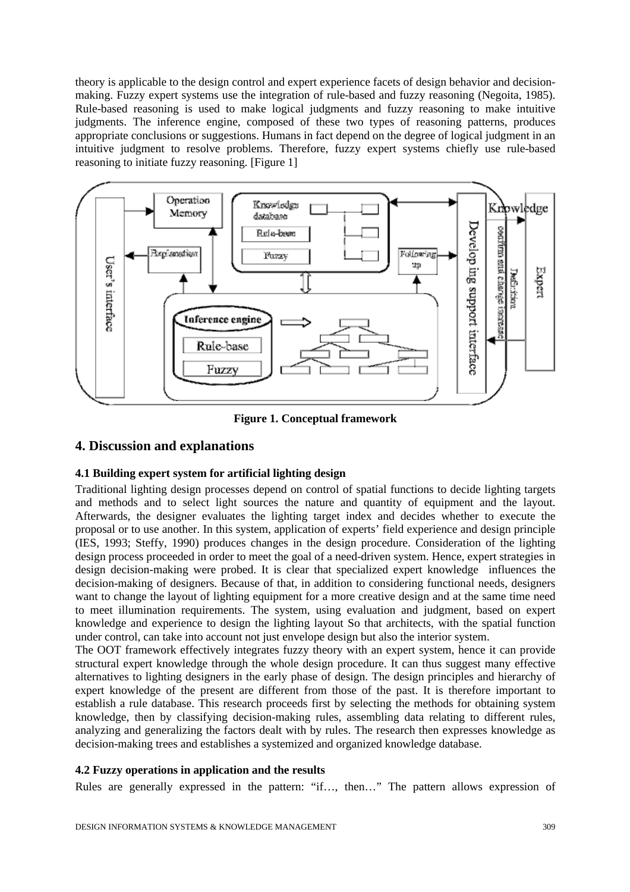theory is applicable to the design control and expert experience facets of design behavior and decisionmaking. Fuzzy expert systems use the integration of rule-based and fuzzy reasoning (Negoita, 1985). Rule-based reasoning is used to make logical judgments and fuzzy reasoning to make intuitive judgments. The inference engine, composed of these two types of reasoning patterns, produces appropriate conclusions or suggestions. Humans in fact depend on the degree of logical judgment in an intuitive judgment to resolve problems. Therefore, fuzzy expert systems chiefly use rule-based reasoning to initiate fuzzy reasoning. [Figure 1]



**Figure 1. Conceptual framework**

## **4. Discussion and explanations**

### **4.1 Building expert system for artificial lighting design**

Traditional lighting design processes depend on control of spatial functions to decide lighting targets and methods and to select light sources the nature and quantity of equipment and the layout. Afterwards, the designer evaluates the lighting target index and decides whether to execute the proposal or to use another. In this system, application of experts' field experience and design principle (IES, 1993; Steffy, 1990) produces changes in the design procedure. Consideration of the lighting design process proceeded in order to meet the goal of a need-driven system. Hence, expert strategies in design decision-making were probed. It is clear that specialized expert knowledge influences the decision-making of designers. Because of that, in addition to considering functional needs, designers want to change the layout of lighting equipment for a more creative design and at the same time need to meet illumination requirements. The system, using evaluation and judgment, based on expert knowledge and experience to design the lighting layout So that architects, with the spatial function under control, can take into account not just envelope design but also the interior system.

The OOT framework effectively integrates fuzzy theory with an expert system, hence it can provide structural expert knowledge through the whole design procedure. It can thus suggest many effective alternatives to lighting designers in the early phase of design. The design principles and hierarchy of expert knowledge of the present are different from those of the past. It is therefore important to establish a rule database. This research proceeds first by selecting the methods for obtaining system knowledge, then by classifying decision-making rules, assembling data relating to different rules, analyzing and generalizing the factors dealt with by rules. The research then expresses knowledge as decision-making trees and establishes a systemized and organized knowledge database.

#### **4.2 Fuzzy operations in application and the results**

Rules are generally expressed in the pattern: "if…, then…" The pattern allows expression of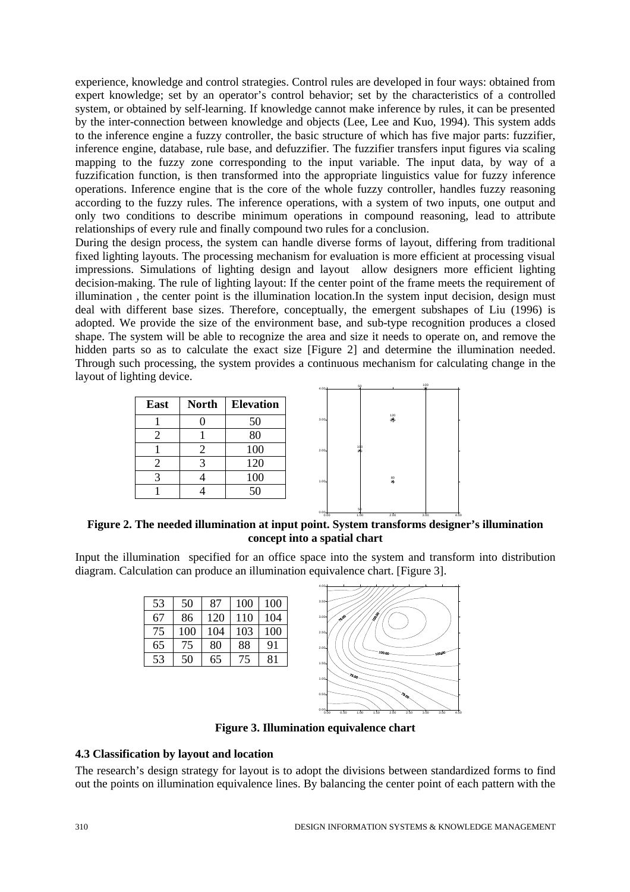experience, knowledge and control strategies. Control rules are developed in four ways: obtained from expert knowledge; set by an operator's control behavior; set by the characteristics of a controlled system, or obtained by self-learning. If knowledge cannot make inference by rules, it can be presented by the inter-connection between knowledge and objects (Lee, Lee and Kuo, 1994). This system adds to the inference engine a fuzzy controller, the basic structure of which has five major parts: fuzzifier, inference engine, database, rule base, and defuzzifier. The fuzzifier transfers input figures via scaling mapping to the fuzzy zone corresponding to the input variable. The input data, by way of a fuzzification function, is then transformed into the appropriate linguistics value for fuzzy inference operations. Inference engine that is the core of the whole fuzzy controller, handles fuzzy reasoning according to the fuzzy rules. The inference operations, with a system of two inputs, one output and only two conditions to describe minimum operations in compound reasoning, lead to attribute relationships of every rule and finally compound two rules for a conclusion.

During the design process, the system can handle diverse forms of layout, differing from traditional fixed lighting layouts. The processing mechanism for evaluation is more efficient at processing visual impressions. Simulations of lighting design and layout allow designers more efficient lighting decision-making. The rule of lighting layout: If the center point of the frame meets the requirement of illumination , the center point is the illumination location.In the system input decision, design must deal with different base sizes. Therefore, conceptually, the emergent subshapes of Liu (1996) is adopted. We provide the size of the environment base, and sub-type recognition produces a closed shape. The system will be able to recognize the area and size it needs to operate on, and remove the hidden parts so as to calculate the exact size [Figure 2] and determine the illumination needed. Through such processing, the system provides a continuous mechanism for calculating change in the layout of lighting device.

| <b>East</b>           | <b>North</b> | <b>Elevation</b> |
|-----------------------|--------------|------------------|
|                       |              | 50               |
| $\mathcal{D}_{\cdot}$ |              | 80               |
|                       | 2            | 100              |
| 2                     | 3            | 120              |
| $\mathcal{R}$         |              | 100              |
|                       |              | 50               |



0.00 1.00 2.00 3.00 4.00

**Figure 2. The needed illumination at input point. System transforms designer's illumination concept into a spatial chart**

Input the illumination specified for an office space into the system and transform into distribution diagram. Calculation can produce an illumination equivalence chart. [Figure 3].

| 50  | 87  | 100 | 100 |
|-----|-----|-----|-----|
| 86  | 120 | 110 | 104 |
| 100 | 104 | 103 | 100 |
| 75  | 80  | 88  | 91  |
| 50  | 65  | 75  | 81  |
|     |     |     |     |



**Figure 3. Illumination equivalence chart**

#### **4.3 Classification by layout and location**

The research's design strategy for layout is to adopt the divisions between standardized forms to find out the points on illumination equivalence lines. By balancing the center point of each pattern with the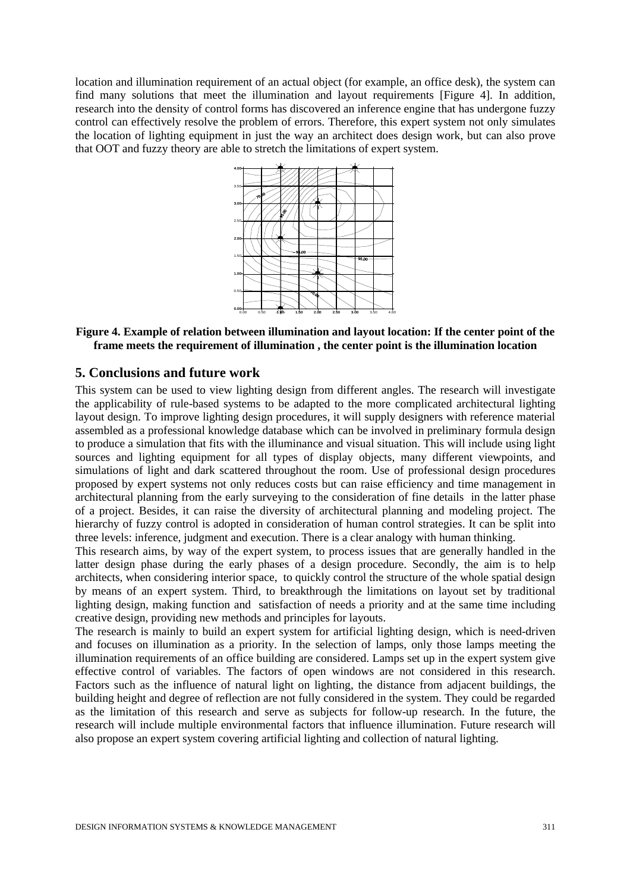location and illumination requirement of an actual object (for example, an office desk), the system can find many solutions that meet the illumination and layout requirements [Figure 4]. In addition, research into the density of control forms has discovered an inference engine that has undergone fuzzy control can effectively resolve the problem of errors. Therefore, this expert system not only simulates the location of lighting equipment in just the way an architect does design work, but can also prove that OOT and fuzzy theory are able to stretch the limitations of expert system.



**Figure 4. Example of relation between illumination and layout location: If the center point of the frame meets the requirement of illumination , the center point is the illumination location**

#### **5. Conclusions and future work**

This system can be used to view lighting design from different angles. The research will investigate the applicability of rule-based systems to be adapted to the more complicated architectural lighting layout design. To improve lighting design procedures, it will supply designers with reference material assembled as a professional knowledge database which can be involved in preliminary formula design to produce a simulation that fits with the illuminance and visual situation. This will include using light sources and lighting equipment for all types of display objects, many different viewpoints, and simulations of light and dark scattered throughout the room. Use of professional design procedures proposed by expert systems not only reduces costs but can raise efficiency and time management in architectural planning from the early surveying to the consideration of fine details in the latter phase of a project. Besides, it can raise the diversity of architectural planning and modeling project. The hierarchy of fuzzy control is adopted in consideration of human control strategies. It can be split into three levels: inference, judgment and execution. There is a clear analogy with human thinking.

This research aims, by way of the expert system, to process issues that are generally handled in the latter design phase during the early phases of a design procedure. Secondly, the aim is to help architects, when considering interior space, to quickly control the structure of the whole spatial design by means of an expert system. Third, to breakthrough the limitations on layout set by traditional lighting design, making function and satisfaction of needs a priority and at the same time including creative design, providing new methods and principles for layouts.

The research is mainly to build an expert system for artificial lighting design, which is need-driven and focuses on illumination as a priority. In the selection of lamps, only those lamps meeting the illumination requirements of an office building are considered. Lamps set up in the expert system give effective control of variables. The factors of open windows are not considered in this research. Factors such as the influence of natural light on lighting, the distance from adjacent buildings, the building height and degree of reflection are not fully considered in the system. They could be regarded as the limitation of this research and serve as subjects for follow-up research. In the future, the research will include multiple environmental factors that influence illumination. Future research will also propose an expert system covering artificial lighting and collection of natural lighting.